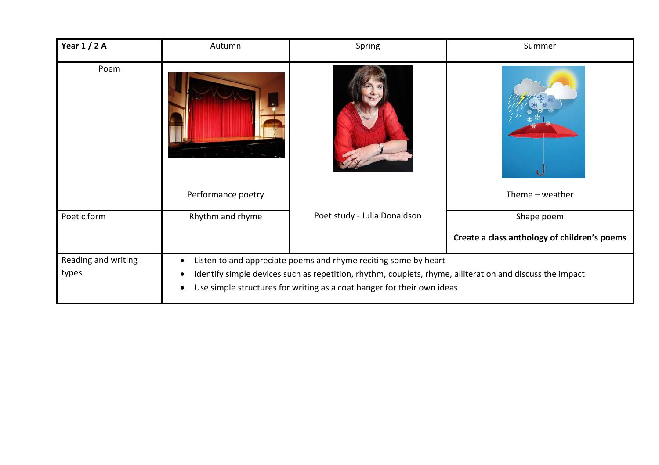| Year $1/2A$                  | Autumn                                                                                                                                                                                                                                                | Spring                       | Summer                                       |
|------------------------------|-------------------------------------------------------------------------------------------------------------------------------------------------------------------------------------------------------------------------------------------------------|------------------------------|----------------------------------------------|
| Poem                         | Performance poetry                                                                                                                                                                                                                                    |                              | Theme $-$ weather                            |
|                              |                                                                                                                                                                                                                                                       |                              |                                              |
| Poetic form                  | Rhythm and rhyme                                                                                                                                                                                                                                      | Poet study - Julia Donaldson | Shape poem                                   |
|                              |                                                                                                                                                                                                                                                       |                              | Create a class anthology of children's poems |
| Reading and writing<br>types | Listen to and appreciate poems and rhyme reciting some by heart<br>Identify simple devices such as repetition, rhythm, couplets, rhyme, alliteration and discuss the impact<br>Use simple structures for writing as a coat hanger for their own ideas |                              |                                              |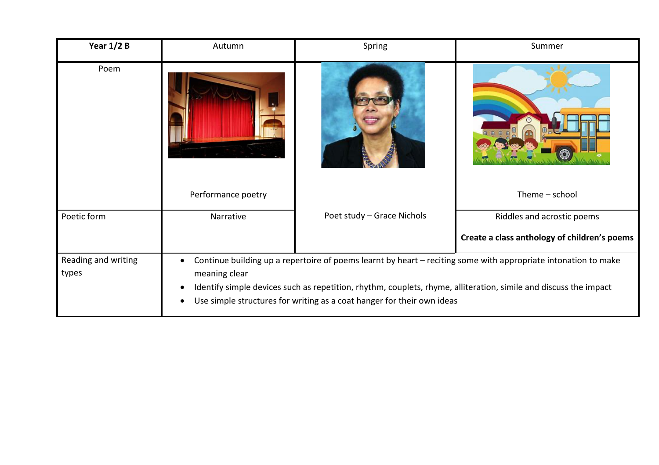| Year $1/2$ B                 | Autumn                                                                                                                                                                                                                                                                                                                        | Spring                     | Summer                                       |
|------------------------------|-------------------------------------------------------------------------------------------------------------------------------------------------------------------------------------------------------------------------------------------------------------------------------------------------------------------------------|----------------------------|----------------------------------------------|
| Poem                         |                                                                                                                                                                                                                                                                                                                               |                            |                                              |
|                              | Performance poetry                                                                                                                                                                                                                                                                                                            |                            | Theme - school                               |
| Poetic form                  | Narrative                                                                                                                                                                                                                                                                                                                     | Poet study - Grace Nichols | Riddles and acrostic poems                   |
|                              |                                                                                                                                                                                                                                                                                                                               |                            | Create a class anthology of children's poems |
| Reading and writing<br>types | Continue building up a repertoire of poems learnt by heart - reciting some with appropriate intonation to make<br>meaning clear<br>Identify simple devices such as repetition, rhythm, couplets, rhyme, alliteration, simile and discuss the impact<br>Use simple structures for writing as a coat hanger for their own ideas |                            |                                              |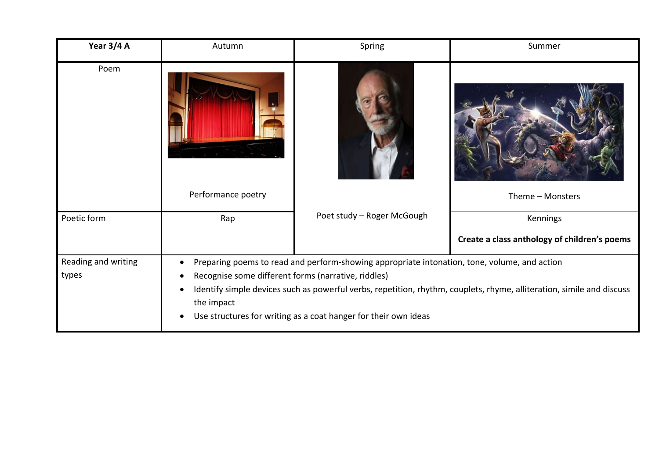| Year 3/4 A                   | Autumn                                                                                                                                                                                                                                                                                                                                                        | Spring                     | Summer                                       |
|------------------------------|---------------------------------------------------------------------------------------------------------------------------------------------------------------------------------------------------------------------------------------------------------------------------------------------------------------------------------------------------------------|----------------------------|----------------------------------------------|
| Poem                         |                                                                                                                                                                                                                                                                                                                                                               |                            |                                              |
|                              | Performance poetry                                                                                                                                                                                                                                                                                                                                            |                            | Theme - Monsters                             |
| Poetic form                  | Rap                                                                                                                                                                                                                                                                                                                                                           | Poet study - Roger McGough | Kennings                                     |
|                              |                                                                                                                                                                                                                                                                                                                                                               |                            | Create a class anthology of children's poems |
| Reading and writing<br>types | Preparing poems to read and perform-showing appropriate intonation, tone, volume, and action<br>Recognise some different forms (narrative, riddles)<br>Identify simple devices such as powerful verbs, repetition, rhythm, couplets, rhyme, alliteration, simile and discuss<br>the impact<br>Use structures for writing as a coat hanger for their own ideas |                            |                                              |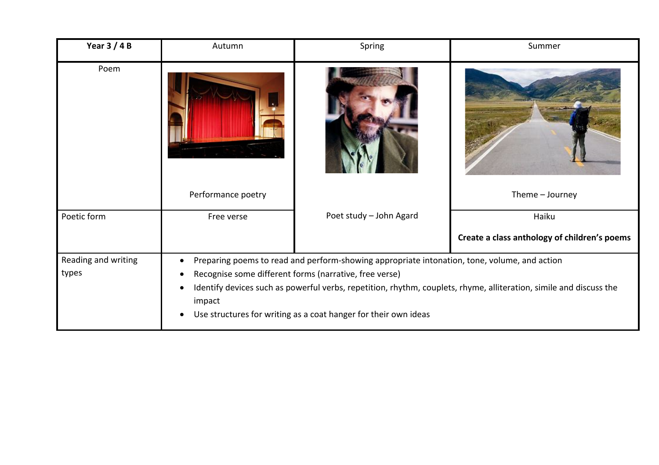| Year $3/4B$                  | Autumn                                                                                                                                                                                                                                                                                                                                                    | Spring                  | Summer                                       |
|------------------------------|-----------------------------------------------------------------------------------------------------------------------------------------------------------------------------------------------------------------------------------------------------------------------------------------------------------------------------------------------------------|-------------------------|----------------------------------------------|
| Poem                         |                                                                                                                                                                                                                                                                                                                                                           |                         |                                              |
|                              | Performance poetry                                                                                                                                                                                                                                                                                                                                        |                         | Theme - Journey                              |
| Poetic form                  | Free verse                                                                                                                                                                                                                                                                                                                                                | Poet study - John Agard | Haiku                                        |
|                              |                                                                                                                                                                                                                                                                                                                                                           |                         | Create a class anthology of children's poems |
| Reading and writing<br>types | Preparing poems to read and perform-showing appropriate intonation, tone, volume, and action<br>Recognise some different forms (narrative, free verse)<br>Identify devices such as powerful verbs, repetition, rhythm, couplets, rhyme, alliteration, simile and discuss the<br>impact<br>Use structures for writing as a coat hanger for their own ideas |                         |                                              |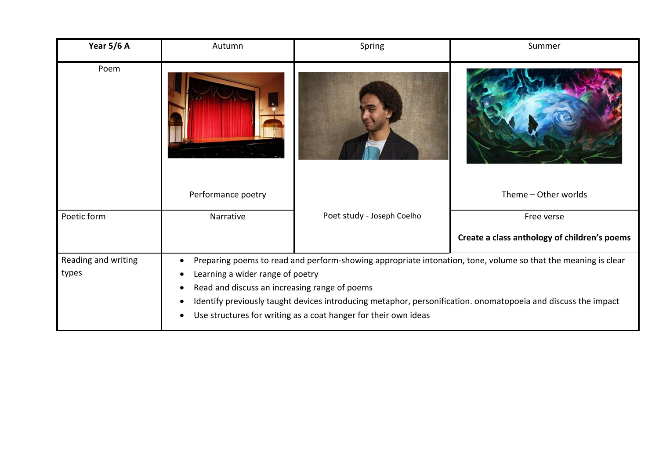| Year 5/6 A          | Autumn                                                                                                        | Spring                                                          | Summer                                       |
|---------------------|---------------------------------------------------------------------------------------------------------------|-----------------------------------------------------------------|----------------------------------------------|
| Poem                |                                                                                                               |                                                                 |                                              |
|                     | Performance poetry                                                                                            |                                                                 | Theme - Other worlds                         |
| Poetic form         | Narrative                                                                                                     | Poet study - Joseph Coelho                                      | Free verse                                   |
|                     |                                                                                                               |                                                                 | Create a class anthology of children's poems |
| Reading and writing | Preparing poems to read and perform-showing appropriate intonation, tone, volume so that the meaning is clear |                                                                 |                                              |
| types               | Learning a wider range of poetry                                                                              |                                                                 |                                              |
|                     | Read and discuss an increasing range of poems                                                                 |                                                                 |                                              |
|                     | Identify previously taught devices introducing metaphor, personification. onomatopoeia and discuss the impact |                                                                 |                                              |
|                     |                                                                                                               | Use structures for writing as a coat hanger for their own ideas |                                              |